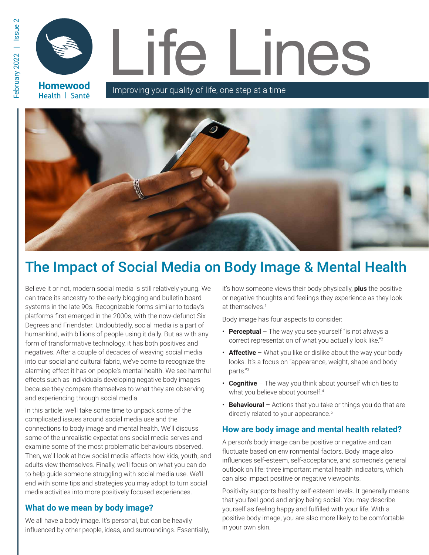**Homewood** Health | Santé

Improving your quality of life, one step at a time



# The Impact of Social Media on Body Image & Mental Health

Believe it or not, modern social media is still relatively young. We can trace its ancestry to the early blogging and bulletin board systems in the late 90s. Recognizable forms similar to today's platforms first emerged in the 2000s, with the now-defunct Six Degrees and Friendster. Undoubtedly, social media is a part of humankind, with billions of people using it daily. But as with any form of transformative technology, it has both positives and negatives. After a couple of decades of weaving social media into our social and cultural fabric, we've come to recognize the alarming effect it has on people's mental health. We see harmful effects such as individuals developing negative body images because they compare themselves to what they are observing and experiencing through social media.

In this article, we'll take some time to unpack some of the complicated issues around social media use and the connections to body image and mental health. We'll discuss some of the unrealistic expectations social media serves and examine some of the most problematic behaviours observed. Then, we'll look at how social media affects how kids, youth, and adults view themselves. Finally, we'll focus on what you can do to help guide someone struggling with social media use. We'll end with some tips and strategies you may adopt to turn social media activities into more positively focused experiences.

#### **What do we mean by body image?**

We all have a body image. It's personal, but can be heavily influenced by other people, ideas, and surroundings. Essentially,

it's how someone views their body physically, **plus** the positive or negative thoughts and feelings they experience as they look at themselves.1

Body image has four aspects to consider:

- **Perceptual** The way you see yourself "is not always a correct representation of what you actually look like."2
- **Affective** What you like or dislike about the way your body looks. It's a focus on "appearance, weight, shape and body parts."<sup>3</sup>
- **Cognitive** The way you think about yourself which ties to what you believe about yourself.<sup>4</sup>
- **Behavioural** Actions that you take or things you do that are directly related to your appearance.<sup>5</sup>

#### **How are body image and mental health related?**

A person's body image can be positive or negative and can fluctuate based on environmental factors. Body image also influences self-esteem, self-acceptance, and someone's general outlook on life: three important mental health indicators, which can also impact positive or negative viewpoints.

Positivity supports healthy self-esteem levels. It generally means that you feel good and enjoy being social. You may describe yourself as feeling happy and fulfilled with your life. With a positive body image, you are also more likely to be comfortable in your own skin.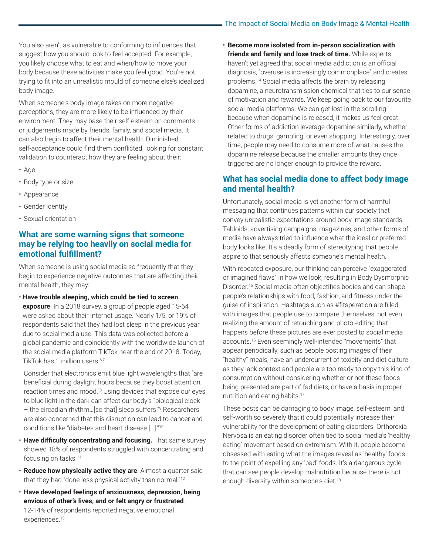You also aren't as vulnerable to conforming to influences that suggest how you should look to feel accepted. For example, you likely choose what to eat and when/how to move your body because these activities make you feel good. You're not trying to fit into an unrealistic mould of someone else's idealized body image.

When someone's body image takes on more negative perceptions, they are more likely to be influenced by their environment. They may base their self-esteem on comments or judgements made by friends, family, and social media. It can also begin to affect their mental health. Diminished self-acceptance could find them conflicted, looking for constant validation to counteract how they are feeling about their:

- Age
- Body type or size
- Appearance
- Gender identity
- Sexual orientation

#### **What are some warning signs that someone may be relying too heavily on social media for emotional fulfillment?**

When someone is using social media so frequently that they begin to experience negative outcomes that are affecting their mental health, they may:

• **Have trouble sleeping, which could be tied to screen exposure**. In a 2018 survey, a group of people aged 15-64 were asked about their Internet usage. Nearly 1/5, or 19% of respondents said that they had lost sleep in the previous year due to social media use. This data was collected before a global pandemic and coincidently with the worldwide launch of the social media platform TikTok near the end of 2018. Today, TikTok has 1 million users.6,7

Consider that electronics emit blue light wavelengths that "are beneficial during daylight hours because they boost attention, reaction times and mood."<sup>8</sup> Using devices that expose our eyes to blue light in the dark can affect our body's "biological clock – the circadian rhythm…[so that] sleep suffers."<sup>9</sup> Researchers are also concerned that this disruption can lead to cancer and conditions like "diabetes and heart disease […]."<sup>10</sup>

- **Have difficulty concentrating and focusing.** That same survey showed 18% of respondents struggled with concentrating and focusing on tasks.<sup>11</sup>
- **Reduce how physically active they are**. Almost a quarter said that they had "done less physical activity than normal."<sup>12</sup>
- **Have developed feelings of anxiousness, depression, being envious of other's lives, and or felt angry or frustrated**. 12-14% of respondents reported negative emotional experiences.<sup>13</sup>

• **Become more isolated from in-person socialization with friends and family and lose track of time.** While experts haven't yet agreed that social media addiction is an official diagnosis, "overuse is increasingly commonplace" and creates problems.14 Social media affects the brain by releasing dopamine, a neurotransmission chemical that ties to our sense of motivation and rewards. We keep going back to our favourite social media platforms. We can get lost in the scrolling because when dopamine is released, it makes us feel great. Other forms of addiction leverage dopamine similarly, whether related to drugs, gambling, or even shopping. Interestingly, over time, people may need to consume more of what causes the dopamine release because the smaller amounts they once triggered are no longer enough to provide the reward.

### **What has social media done to affect body image and mental health?**

Unfortunately, social media is yet another form of harmful messaging that continues patterns within our society that convey unrealistic expectations around body image standards. Tabloids, advertising campaigns, magazines, and other forms of media have always tried to influence what the ideal or preferred body looks like. It's a deadly form of stereotyping that people aspire to that seriously affects someone's mental health.

With repeated exposure, our thinking can perceive "exaggerated or imagined flaws" in how we look, resulting in Body Dysmorphic Disorder.15 Social media often objectifies bodies and can shape people's relationships with food, fashion, and fitness under the guise of inspiration. Hashtags such as #fitsperation are filled with images that people use to compare themselves, not even realizing the amount of retouching and photo-editing that happens before these pictures are ever posted to social media accounts.16 Even seemingly well-intended "movements" that appear periodically, such as people posting images of their "healthy" meals, have an undercurrent of toxicity and diet culture as they lack context and people are too ready to copy this kind of consumption without considering whether or not these foods being presented are part of fad diets, or have a basis in proper nutrition and eating habits.<sup>17</sup>

These posts can be damaging to body image, self-esteem, and self-worth so severely that it could potentially increase their vulnerability for the development of eating disorders. Orthorexia Nervosa is an eating disorder often tied to social media's 'healthy eating' movement based on extremism. With it, people become obsessed with eating what the images reveal as 'healthy' foods to the point of expelling any 'bad' foods. It's a dangerous cycle that can see people develop malnutrition because there is not enough diversity within someone's diet.<sup>18</sup>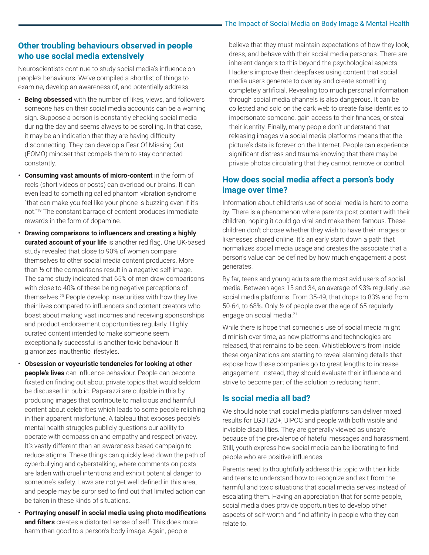#### **Other troubling behaviours observed in people who use social media extensively**

Neuroscientists continue to study social media's influence on people's behaviours. We've compiled a shortlist of things to examine, develop an awareness of, and potentially address.

- **Being obsessed** with the number of likes, views, and followers someone has on their social media accounts can be a warning sign. Suppose a person is constantly checking social media during the day and seems always to be scrolling. In that case, it may be an indication that they are having difficulty disconnecting. They can develop a Fear Of Missing Out (FOMO) mindset that compels them to stay connected constantly.
- **Consuming vast amounts of micro-content** in the form of reels (short videos or posts) can overload our brains. It can even lead to something called phantom vibration syndrome "that can make you feel like your phone is buzzing even if it's not."19 The constant barrage of content produces immediate rewards in the form of dopamine.
- **Drawing comparisons to influencers and creating a highly curated account of your life** is another red flag. One UK-based study revealed that close to 90% of women compare themselves to other social media content producers. More than ½ of the comparisons result in a negative self-image. The same study indicated that 65% of men draw comparisons with close to 40% of these being negative perceptions of themselves.20 People develop insecurities with how they live their lives compared to influencers and content creators who boast about making vast incomes and receiving sponsorships and product endorsement opportunities regularly. Highly curated content intended to make someone seem exceptionally successful is another toxic behaviour. It glamorizes inauthentic lifestyles.
- **Obsession or voyeuristic tendencies for looking at other people's lives** can influence behaviour. People can become fixated on finding out about private topics that would seldom be discussed in public. Paparazzi are culpable in this by producing images that contribute to malicious and harmful content about celebrities which leads to some people relishing in their apparent misfortune. A tableau that exposes people's mental health struggles publicly questions our ability to operate with compassion and empathy and respect privacy. It's vastly different than an awareness-based campaign to reduce stigma. These things can quickly lead down the path of cyberbullying and cyberstalking, where comments on posts are laden with cruel intentions and exhibit potential danger to someone's safety. Laws are not yet well defined in this area, and people may be surprised to find out that limited action can be taken in these kinds of situations.
- **Portraying oneself in social media using photo modifications and filters** creates a distorted sense of self. This does more harm than good to a person's body image. Again, people

believe that they must maintain expectations of how they look, dress, and behave with their social media personas. There are inherent dangers to this beyond the psychological aspects. Hackers improve their deepfakes using content that social media users generate to overlay and create something completely artificial. Revealing too much personal information through social media channels is also dangerous. It can be collected and sold on the dark web to create false identities to impersonate someone, gain access to their finances, or steal their identity. Finally, many people don't understand that releasing images via social media platforms means that the picture's data is forever on the Internet. People can experience significant distress and trauma knowing that there may be private photos circulating that they cannot remove or control.

# **How does social media affect a person's body image over time?**

Information about children's use of social media is hard to come by. There is a phenomenon where parents post content with their children, hoping it could go viral and make them famous. These children don't choose whether they wish to have their images or likenesses shared online. It's an early start down a path that normalizes social media usage and creates the associate that a person's value can be defined by how much engagement a post generates.

By far, teens and young adults are the most avid users of social media. Between ages 15 and 34, an average of 93% regularly use social media platforms. From 35-49, that drops to 83% and from 50-64, to 68%. Only ½ of people over the age of 65 regularly engage on social media.<sup>21</sup>

While there is hope that someone's use of social media might diminish over time, as new platforms and technologies are released, that remains to be seen. Whistleblowers from inside these organizations are starting to reveal alarming details that expose how these companies go to great lengths to increase engagement. Instead, they should evaluate their influence and strive to become part of the solution to reducing harm.

#### **Is social media all bad?**

We should note that social media platforms can deliver mixed results for LGBT2Q+, BIPOC and people with both visible and invisible disabilities. They are generally viewed as unsafe because of the prevalence of hateful messages and harassment. Still, youth express how social media can be liberating to find people who are positive influences.

Parents need to thoughtfully address this topic with their kids and teens to understand how to recognize and exit from the harmful and toxic situations that social media serves instead of escalating them. Having an appreciation that for some people, social media does provide opportunities to develop other aspects of self-worth and find affinity in people who they can relate to.